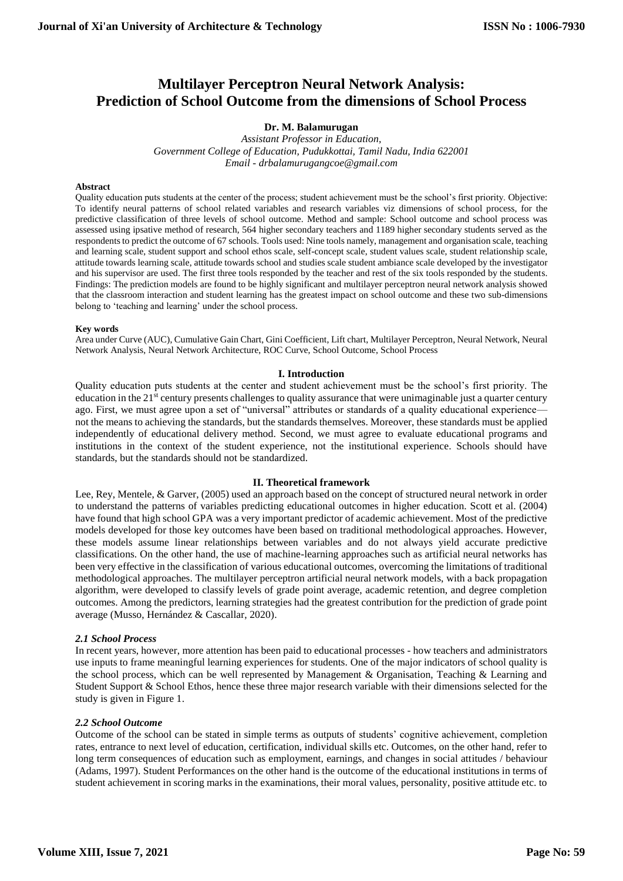# **Multilayer Perceptron Neural Network Analysis: Prediction of School Outcome from the dimensions of School Process**

## **Dr. M. Balamurugan**

*Assistant Professor in Education, Government College of Education, Pudukkottai, Tamil Nadu, India 622001 Email - drbalamurugangcoe@gmail.com*

#### **Abstract**

Quality education puts students at the center of the process; student achievement must be the school's first priority. Objective: To identify neural patterns of school related variables and research variables viz dimensions of school process, for the predictive classification of three levels of school outcome. Method and sample: School outcome and school process was assessed using ipsative method of research, 564 higher secondary teachers and 1189 higher secondary students served as the respondents to predict the outcome of 67 schools. Tools used: Nine tools namely, management and organisation scale, teaching and learning scale, student support and school ethos scale, self-concept scale, student values scale, student relationship scale, attitude towards learning scale, attitude towards school and studies scale student ambiance scale developed by the investigator and his supervisor are used. The first three tools responded by the teacher and rest of the six tools responded by the students. Findings: The prediction models are found to be highly significant and multilayer perceptron neural network analysis showed that the classroom interaction and student learning has the greatest impact on school outcome and these two sub-dimensions belong to 'teaching and learning' under the school process.

#### **Key words**

Area under Curve (AUC), Cumulative Gain Chart, Gini Coefficient, Lift chart, Multilayer Perceptron, Neural Network, Neural Network Analysis, Neural Network Architecture, ROC Curve, School Outcome, School Process

#### **I. Introduction**

Quality education puts students at the center and student achievement must be the school's first priority. The education in the 21<sup>st</sup> century presents challenges to quality assurance that were unimaginable just a quarter century ago. First, we must agree upon a set of "universal" attributes or standards of a quality educational experiencenot the means to achieving the standards, but the standards themselves. Moreover, these standards must be applied independently of educational delivery method. Second, we must agree to evaluate educational programs and institutions in the context of the student experience, not the institutional experience. Schools should have standards, but the standards should not be standardized.

#### **II. Theoretical framework**

Lee, Rey, Mentele, & Garver, (2005) used an approach based on the concept of structured neural network in order to understand the patterns of variables predicting educational outcomes in higher education. Scott et al. (2004) have found that high school GPA was a very important predictor of academic achievement. Most of the predictive models developed for those key outcomes have been based on traditional methodological approaches. However, these models assume linear relationships between variables and do not always yield accurate predictive classifications. On the other hand, the use of machine-learning approaches such as artificial neural networks has been very effective in the classification of various educational outcomes, overcoming the limitations of traditional methodological approaches. The multilayer perceptron artificial neural network models, with a back propagation algorithm, were developed to classify levels of grade point average, academic retention, and degree completion outcomes. Among the predictors, learning strategies had the greatest contribution for the prediction of grade point average (Musso, Hernández & Cascallar, 2020).

#### *2.1 School Process*

In recent years, however, more attention has been paid to educational processes - how teachers and administrators use inputs to frame meaningful learning experiences for students. One of the major indicators of school quality is the school process, which can be well represented by Management & Organisation, Teaching & Learning and Student Support & School Ethos, hence these three major research variable with their dimensions selected for the study is given in Figure 1.

#### *2.2 School Outcome*

Outcome of the school can be stated in simple terms as outputs of students' cognitive achievement, completion rates, entrance to next level of education, certification, individual skills etc. Outcomes, on the other hand, refer to long term consequences of education such as employment, earnings, and changes in social attitudes / behaviour (Adams, 1997). Student Performances on the other hand is the outcome of the educational institutions in terms of student achievement in scoring marks in the examinations, their moral values, personality, positive attitude etc. to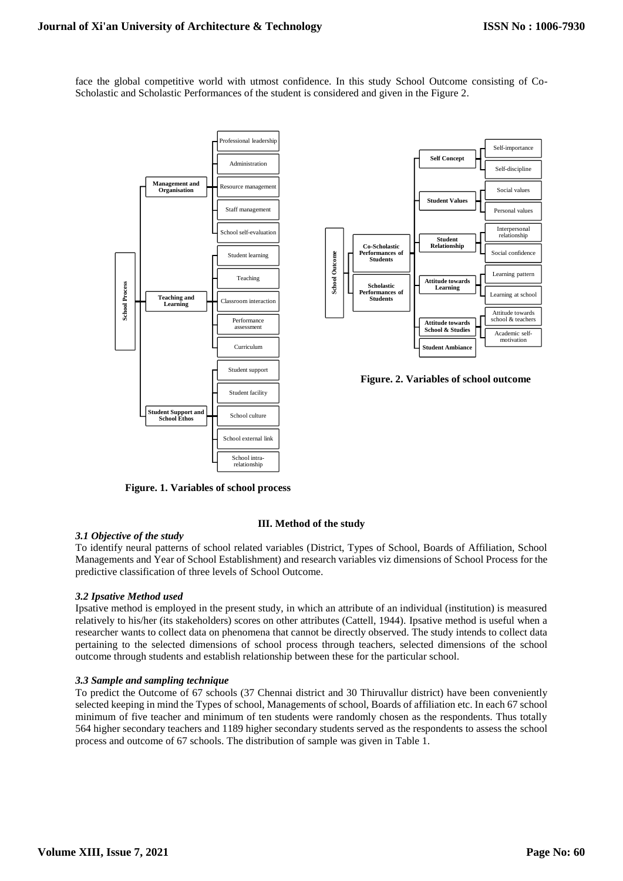face the global competitive world with utmost confidence. In this study School Outcome consisting of Co-Scholastic and Scholastic Performances of the student is considered and given in the Figure 2.



**Figure. 1. Variables of school process** 

## **III. Method of the study**

## *3.1 Objective of the study*

To identify neural patterns of school related variables (District, Types of School, Boards of Affiliation, School Managements and Year of School Establishment) and research variables viz dimensions of School Process for the predictive classification of three levels of School Outcome.

# *3.2 Ipsative Method used*

Ipsative method is employed in the present study, in which an attribute of an individual (institution) is measured relatively to his/her (its stakeholders) scores on other attributes (Cattell, 1944). Ipsative method is useful when a researcher wants to collect data on phenomena that cannot be directly observed. The study intends to collect data pertaining to the selected dimensions of school process through teachers, selected dimensions of the school outcome through students and establish relationship between these for the particular school.

## *3.3 Sample and sampling technique*

To predict the Outcome of 67 schools (37 Chennai district and 30 Thiruvallur district) have been conveniently selected keeping in mind the Types of school, Managements of school, Boards of affiliation etc. In each 67 school minimum of five teacher and minimum of ten students were randomly chosen as the respondents. Thus totally 564 higher secondary teachers and 1189 higher secondary students served as the respondents to assess the school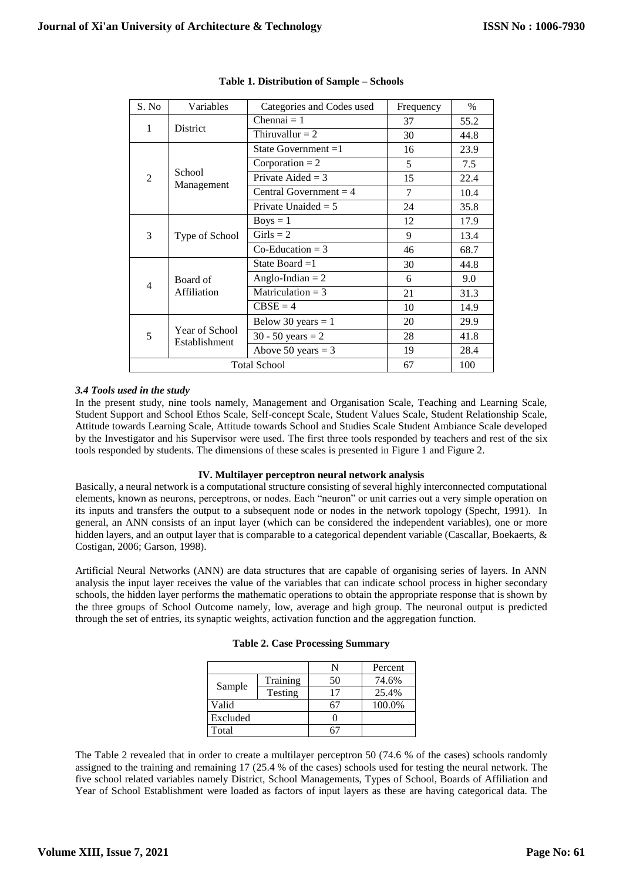| S. No               | Variables                       | Categories and Codes used       | Frequency | $\%$ |
|---------------------|---------------------------------|---------------------------------|-----------|------|
| 1                   |                                 | Chennai $= 1$                   | 37        | 55.2 |
| District            |                                 | Thiruvallur $= 2$               | 30        | 44.8 |
|                     |                                 | State Government =1             | 16        | 23.9 |
|                     | School<br>Management            | Corporation $= 2$               | 5         | 7.5  |
| $\overline{2}$      |                                 | Private Aided = $3$             | 15        | 22.4 |
|                     |                                 | Central Government = $4$        | 7         | 10.4 |
|                     |                                 | Private Unaided $= 5$           | 24        | 35.8 |
|                     |                                 | $Boys = 1$                      | 12        | 17.9 |
| 3                   | Type of School                  | $Girls = 2$                     | 9         | 13.4 |
|                     |                                 | $Co-Eduction = 3$               | 46        | 68.7 |
|                     |                                 | State Board $=1$                | 30        | 44.8 |
| 4                   | Board of                        | Anglo-Indian $= 2$              | 6         | 9.0  |
|                     | Affiliation                     | Matriculation = $3$             | 21        | 31.3 |
|                     |                                 | $CBSE = 4$                      | 10        | 14.9 |
| 5                   | Year of School<br>Establishment | Below 30 years $= 1$            | 20        | 29.9 |
|                     |                                 | 30 - 50 years = $2 \frac{1}{2}$ | 28        | 41.8 |
|                     |                                 | Above 50 years $=$ 3            | 19        | 28.4 |
| <b>Total School</b> |                                 |                                 | 67        | 100  |

# **Table 1. Distribution of Sample – Schools**

## *3.4 Tools used in the study*

In the present study, nine tools namely, Management and Organisation Scale, Teaching and Learning Scale, Student Support and School Ethos Scale, Self-concept Scale, Student Values Scale, Student Relationship Scale, Attitude towards Learning Scale, Attitude towards School and Studies Scale Student Ambiance Scale developed by the Investigator and his Supervisor were used. The first three tools responded by teachers and rest of the six tools responded by students. The dimensions of these scales is presented in Figure 1 and Figure 2.

## **IV. Multilayer perceptron neural network analysis**

Basically, a neural network is a computational structure consisting of several highly interconnected computational elements, known as neurons, perceptrons, or nodes. Each "neuron" or unit carries out a very simple operation on its inputs and transfers the output to a subsequent node or nodes in the network topology (Specht, 1991). In general, an ANN consists of an input layer (which can be considered the independent variables), one or more hidden layers, and an output layer that is comparable to a categorical dependent variable (Cascallar, Boekaerts, & Costigan, 2006; Garson, 1998).

Artificial Neural Networks (ANN) are data structures that are capable of organising series of layers. In ANN analysis the input layer receives the value of the variables that can indicate school process in higher secondary schools, the hidden layer performs the mathematic operations to obtain the appropriate response that is shown by the three groups of School Outcome namely, low, average and high group. The neuronal output is predicted through the set of entries, its synaptic weights, activation function and the aggregation function.

| <b>Table 2. Case Processing Summary</b> |
|-----------------------------------------|
|-----------------------------------------|

|          |          |    | Percent |
|----------|----------|----|---------|
|          | Training | 50 | 74.6%   |
| Sample   | Testing  | 17 | 25.4%   |
| Valid    |          |    | 100.0%  |
| Excluded |          |    |         |
| Total    |          |    |         |

The Table 2 revealed that in order to create a multilayer perceptron 50 (74.6 % of the cases) schools randomly assigned to the training and remaining 17 (25.4 % of the cases) schools used for testing the neural network. The five school related variables namely District, School Managements, Types of School, Boards of Affiliation and Year of School Establishment were loaded as factors of input layers as these are having categorical data. The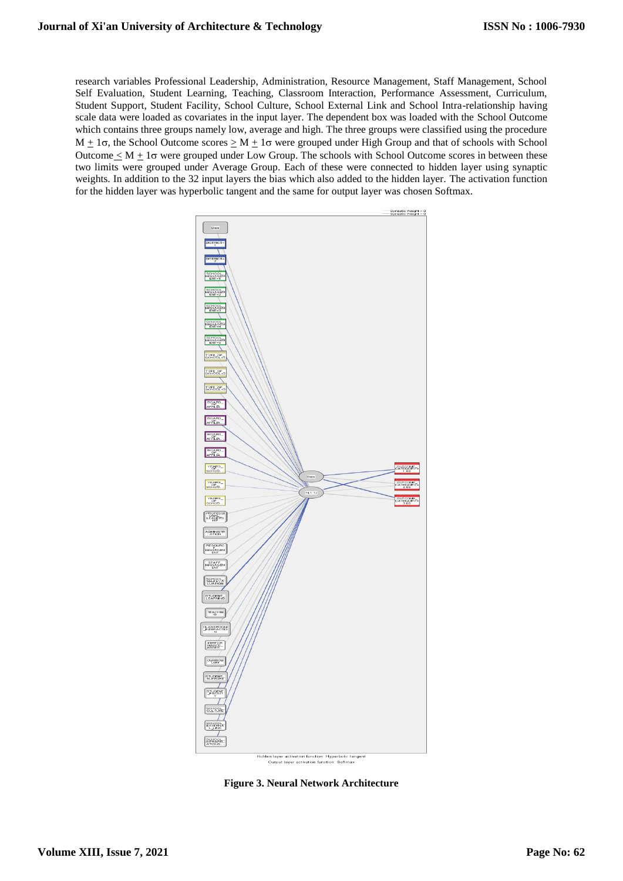research variables Professional Leadership, Administration, Resource Management, Staff Management, School Self Evaluation, Student Learning, Teaching, Classroom Interaction, Performance Assessment, Curriculum, Student Support, Student Facility, School Culture, School External Link and School Intra-relationship having scale data were loaded as covariates in the input layer. The dependent box was loaded with the School Outcome which contains three groups namely low, average and high. The three groups were classified using the procedure  $M \pm 1\sigma$ , the School Outcome scores  $\geq M \pm 1\sigma$  were grouped under High Group and that of schools with School Outcome  $\langle M + 1\sigma$  were grouped under Low Group. The schools with School Outcome scores in between these two limits were grouped under Average Group. Each of these were connected to hidden layer using synaptic weights. In addition to the 32 input layers the bias which also added to the hidden layer. The activation function for the hidden layer was hyperbolic tangent and the same for output layer was chosen Softmax.



**Figure 3. Neural Network Architecture**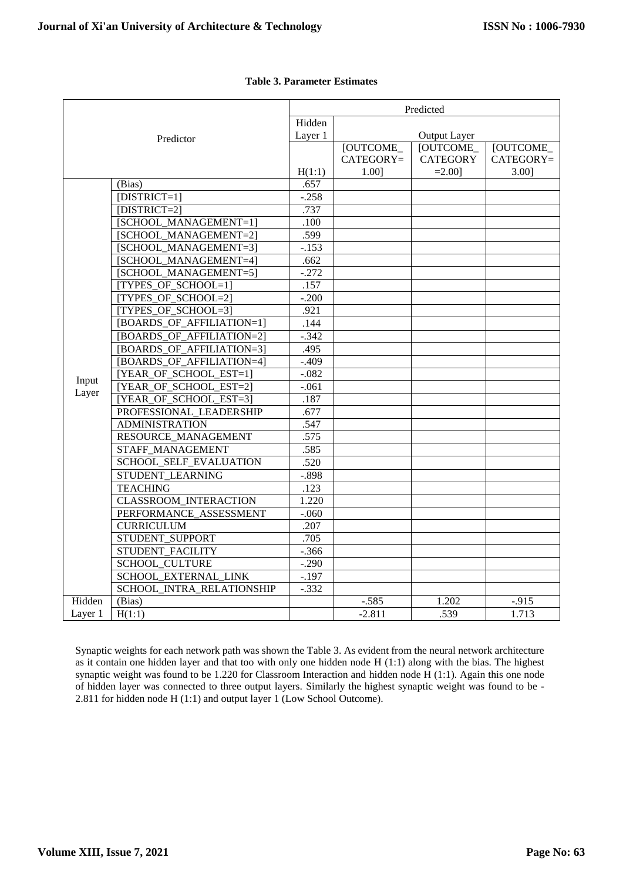| Hidden<br>Output Layer<br>Layer 1<br>Predictor<br>[OUTCOME_<br><b>[OUTCOME</b><br>[OUTCOME_<br>$CATEGORY =$<br><b>CATEGORY</b><br>H(1:1)<br>1.001<br>$=2.001$<br>3.00]<br>.657<br>(Bias)<br>$[DISTRICT=1]$<br>$-.258$<br>.737<br>[DISTRICT=2]<br>[SCHOOL_MANAGEMENT=1]<br>.100<br>.599<br>[SCHOOL MANAGEMENT=2]<br>[SCHOOL_MANAGEMENT=3]<br>$-153$<br>[SCHOOL MANAGEMENT=4]<br>.662<br>$-.272$<br>[SCHOOL_MANAGEMENT=5]<br>[TYPES_OF_SCHOOL=1]<br>.157<br>[TYPES_OF_SCHOOL=2]<br>$-.200$<br>[TYPES OF SCHOOL=3]<br>.921<br>[BOARDS_OF_AFFILIATION=1]<br>.144<br>[BOARDS_OF_AFFILIATION=2]<br>$-.342$<br>[BOARDS_OF_AFFILIATION=3]<br>.495<br>[BOARDS OF AFFILIATION=4]<br>$-.409$<br>[YEAR_OF_SCHOOL_EST=1]<br>$-.082$<br>Input<br>[YEAR OF SCHOOL EST=2]<br>$-.061$<br>Layer<br>[YEAR_OF_SCHOOL_EST=3]<br>.187<br>PROFESSIONAL_LEADERSHIP<br>.677<br><b>ADMINISTRATION</b><br>.547<br>RESOURCE_MANAGEMENT<br>.575<br>STAFF MANAGEMENT<br>.585<br>SCHOOL_SELF_EVALUATION<br>.520<br>STUDENT LEARNING<br>$-.898$<br><b>TEACHING</b><br>.123<br><b>CLASSROOM INTERACTION</b><br>1.220<br>PERFORMANCE ASSESSMENT<br>$-.060$<br><b>CURRICULUM</b><br>.207<br>STUDENT_SUPPORT<br>.705<br>STUDENT FACILITY<br>$-.366$<br><b>SCHOOL_CULTURE</b><br>$-.290$<br>SCHOOL_EXTERNAL_LINK<br>$-.197$<br>SCHOOL_INTRA_RELATIONSHIP<br>$-.332$ |        |        | Predicted |         |       |           |
|--------------------------------------------------------------------------------------------------------------------------------------------------------------------------------------------------------------------------------------------------------------------------------------------------------------------------------------------------------------------------------------------------------------------------------------------------------------------------------------------------------------------------------------------------------------------------------------------------------------------------------------------------------------------------------------------------------------------------------------------------------------------------------------------------------------------------------------------------------------------------------------------------------------------------------------------------------------------------------------------------------------------------------------------------------------------------------------------------------------------------------------------------------------------------------------------------------------------------------------------------------------------------------------------------------------------------------|--------|--------|-----------|---------|-------|-----------|
|                                                                                                                                                                                                                                                                                                                                                                                                                                                                                                                                                                                                                                                                                                                                                                                                                                                                                                                                                                                                                                                                                                                                                                                                                                                                                                                                |        |        |           |         |       |           |
|                                                                                                                                                                                                                                                                                                                                                                                                                                                                                                                                                                                                                                                                                                                                                                                                                                                                                                                                                                                                                                                                                                                                                                                                                                                                                                                                |        |        |           |         |       |           |
|                                                                                                                                                                                                                                                                                                                                                                                                                                                                                                                                                                                                                                                                                                                                                                                                                                                                                                                                                                                                                                                                                                                                                                                                                                                                                                                                |        |        |           |         |       |           |
|                                                                                                                                                                                                                                                                                                                                                                                                                                                                                                                                                                                                                                                                                                                                                                                                                                                                                                                                                                                                                                                                                                                                                                                                                                                                                                                                |        |        |           |         |       | CATEGORY= |
|                                                                                                                                                                                                                                                                                                                                                                                                                                                                                                                                                                                                                                                                                                                                                                                                                                                                                                                                                                                                                                                                                                                                                                                                                                                                                                                                |        |        |           |         |       |           |
|                                                                                                                                                                                                                                                                                                                                                                                                                                                                                                                                                                                                                                                                                                                                                                                                                                                                                                                                                                                                                                                                                                                                                                                                                                                                                                                                |        |        |           |         |       |           |
|                                                                                                                                                                                                                                                                                                                                                                                                                                                                                                                                                                                                                                                                                                                                                                                                                                                                                                                                                                                                                                                                                                                                                                                                                                                                                                                                |        |        |           |         |       |           |
|                                                                                                                                                                                                                                                                                                                                                                                                                                                                                                                                                                                                                                                                                                                                                                                                                                                                                                                                                                                                                                                                                                                                                                                                                                                                                                                                |        |        |           |         |       |           |
|                                                                                                                                                                                                                                                                                                                                                                                                                                                                                                                                                                                                                                                                                                                                                                                                                                                                                                                                                                                                                                                                                                                                                                                                                                                                                                                                |        |        |           |         |       |           |
|                                                                                                                                                                                                                                                                                                                                                                                                                                                                                                                                                                                                                                                                                                                                                                                                                                                                                                                                                                                                                                                                                                                                                                                                                                                                                                                                |        |        |           |         |       |           |
|                                                                                                                                                                                                                                                                                                                                                                                                                                                                                                                                                                                                                                                                                                                                                                                                                                                                                                                                                                                                                                                                                                                                                                                                                                                                                                                                |        |        |           |         |       |           |
|                                                                                                                                                                                                                                                                                                                                                                                                                                                                                                                                                                                                                                                                                                                                                                                                                                                                                                                                                                                                                                                                                                                                                                                                                                                                                                                                |        |        |           |         |       |           |
|                                                                                                                                                                                                                                                                                                                                                                                                                                                                                                                                                                                                                                                                                                                                                                                                                                                                                                                                                                                                                                                                                                                                                                                                                                                                                                                                |        |        |           |         |       |           |
|                                                                                                                                                                                                                                                                                                                                                                                                                                                                                                                                                                                                                                                                                                                                                                                                                                                                                                                                                                                                                                                                                                                                                                                                                                                                                                                                |        |        |           |         |       |           |
|                                                                                                                                                                                                                                                                                                                                                                                                                                                                                                                                                                                                                                                                                                                                                                                                                                                                                                                                                                                                                                                                                                                                                                                                                                                                                                                                |        |        |           |         |       |           |
|                                                                                                                                                                                                                                                                                                                                                                                                                                                                                                                                                                                                                                                                                                                                                                                                                                                                                                                                                                                                                                                                                                                                                                                                                                                                                                                                |        |        |           |         |       |           |
|                                                                                                                                                                                                                                                                                                                                                                                                                                                                                                                                                                                                                                                                                                                                                                                                                                                                                                                                                                                                                                                                                                                                                                                                                                                                                                                                |        |        |           |         |       |           |
|                                                                                                                                                                                                                                                                                                                                                                                                                                                                                                                                                                                                                                                                                                                                                                                                                                                                                                                                                                                                                                                                                                                                                                                                                                                                                                                                |        |        |           |         |       |           |
|                                                                                                                                                                                                                                                                                                                                                                                                                                                                                                                                                                                                                                                                                                                                                                                                                                                                                                                                                                                                                                                                                                                                                                                                                                                                                                                                |        |        |           |         |       |           |
|                                                                                                                                                                                                                                                                                                                                                                                                                                                                                                                                                                                                                                                                                                                                                                                                                                                                                                                                                                                                                                                                                                                                                                                                                                                                                                                                |        |        |           |         |       |           |
|                                                                                                                                                                                                                                                                                                                                                                                                                                                                                                                                                                                                                                                                                                                                                                                                                                                                                                                                                                                                                                                                                                                                                                                                                                                                                                                                |        |        |           |         |       |           |
|                                                                                                                                                                                                                                                                                                                                                                                                                                                                                                                                                                                                                                                                                                                                                                                                                                                                                                                                                                                                                                                                                                                                                                                                                                                                                                                                |        |        |           |         |       |           |
|                                                                                                                                                                                                                                                                                                                                                                                                                                                                                                                                                                                                                                                                                                                                                                                                                                                                                                                                                                                                                                                                                                                                                                                                                                                                                                                                |        |        |           |         |       |           |
|                                                                                                                                                                                                                                                                                                                                                                                                                                                                                                                                                                                                                                                                                                                                                                                                                                                                                                                                                                                                                                                                                                                                                                                                                                                                                                                                |        |        |           |         |       |           |
|                                                                                                                                                                                                                                                                                                                                                                                                                                                                                                                                                                                                                                                                                                                                                                                                                                                                                                                                                                                                                                                                                                                                                                                                                                                                                                                                |        |        |           |         |       |           |
|                                                                                                                                                                                                                                                                                                                                                                                                                                                                                                                                                                                                                                                                                                                                                                                                                                                                                                                                                                                                                                                                                                                                                                                                                                                                                                                                |        |        |           |         |       |           |
|                                                                                                                                                                                                                                                                                                                                                                                                                                                                                                                                                                                                                                                                                                                                                                                                                                                                                                                                                                                                                                                                                                                                                                                                                                                                                                                                |        |        |           |         |       |           |
|                                                                                                                                                                                                                                                                                                                                                                                                                                                                                                                                                                                                                                                                                                                                                                                                                                                                                                                                                                                                                                                                                                                                                                                                                                                                                                                                |        |        |           |         |       |           |
|                                                                                                                                                                                                                                                                                                                                                                                                                                                                                                                                                                                                                                                                                                                                                                                                                                                                                                                                                                                                                                                                                                                                                                                                                                                                                                                                |        |        |           |         |       |           |
|                                                                                                                                                                                                                                                                                                                                                                                                                                                                                                                                                                                                                                                                                                                                                                                                                                                                                                                                                                                                                                                                                                                                                                                                                                                                                                                                |        |        |           |         |       |           |
|                                                                                                                                                                                                                                                                                                                                                                                                                                                                                                                                                                                                                                                                                                                                                                                                                                                                                                                                                                                                                                                                                                                                                                                                                                                                                                                                |        |        |           |         |       |           |
|                                                                                                                                                                                                                                                                                                                                                                                                                                                                                                                                                                                                                                                                                                                                                                                                                                                                                                                                                                                                                                                                                                                                                                                                                                                                                                                                |        |        |           |         |       |           |
|                                                                                                                                                                                                                                                                                                                                                                                                                                                                                                                                                                                                                                                                                                                                                                                                                                                                                                                                                                                                                                                                                                                                                                                                                                                                                                                                |        |        |           |         |       |           |
|                                                                                                                                                                                                                                                                                                                                                                                                                                                                                                                                                                                                                                                                                                                                                                                                                                                                                                                                                                                                                                                                                                                                                                                                                                                                                                                                |        |        |           |         |       |           |
|                                                                                                                                                                                                                                                                                                                                                                                                                                                                                                                                                                                                                                                                                                                                                                                                                                                                                                                                                                                                                                                                                                                                                                                                                                                                                                                                |        |        |           |         |       |           |
|                                                                                                                                                                                                                                                                                                                                                                                                                                                                                                                                                                                                                                                                                                                                                                                                                                                                                                                                                                                                                                                                                                                                                                                                                                                                                                                                |        |        |           |         |       |           |
|                                                                                                                                                                                                                                                                                                                                                                                                                                                                                                                                                                                                                                                                                                                                                                                                                                                                                                                                                                                                                                                                                                                                                                                                                                                                                                                                |        |        |           |         |       |           |
|                                                                                                                                                                                                                                                                                                                                                                                                                                                                                                                                                                                                                                                                                                                                                                                                                                                                                                                                                                                                                                                                                                                                                                                                                                                                                                                                |        |        |           |         |       |           |
|                                                                                                                                                                                                                                                                                                                                                                                                                                                                                                                                                                                                                                                                                                                                                                                                                                                                                                                                                                                                                                                                                                                                                                                                                                                                                                                                | Hidden | (Bias) |           | $-.585$ | 1.202 | $-.915$   |
| 1.713<br>Layer 1<br>H(1:1)<br>$-2.811$<br>.539                                                                                                                                                                                                                                                                                                                                                                                                                                                                                                                                                                                                                                                                                                                                                                                                                                                                                                                                                                                                                                                                                                                                                                                                                                                                                 |        |        |           |         |       |           |

# **Table 3. Parameter Estimates**

Synaptic weights for each network path was shown the Table 3. As evident from the neural network architecture as it contain one hidden layer and that too with only one hidden node H (1:1) along with the bias. The highest synaptic weight was found to be 1.220 for Classroom Interaction and hidden node H (1:1). Again this one node of hidden layer was connected to three output layers. Similarly the highest synaptic weight was found to be - 2.811 for hidden node H (1:1) and output layer 1 (Low School Outcome).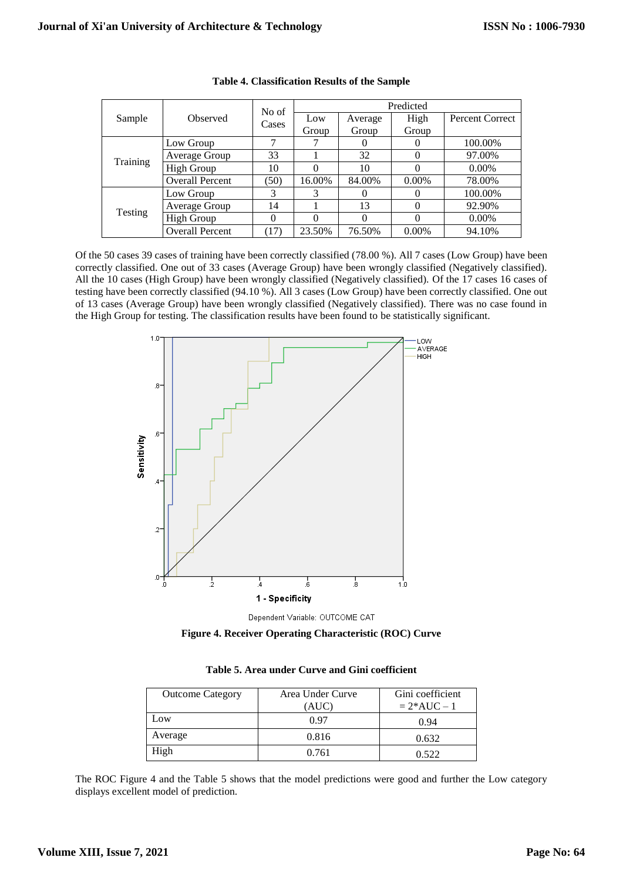|          | <b>Observed</b>        | No of | Predicted |          |          |                        |
|----------|------------------------|-------|-----------|----------|----------|------------------------|
| Sample   |                        | Cases | Low       | Average  | High     | <b>Percent Correct</b> |
|          |                        |       | Group     | Group    | Group    |                        |
|          | Low Group              | 7     |           | $\theta$ | 0        | 100.00%                |
| Training | Average Group          | 33    |           | 32       | $\Omega$ | 97.00%                 |
|          | <b>High Group</b>      | 10    |           | 10       | 0        | $0.00\%$               |
|          | <b>Overall Percent</b> | (50)  | 16.00%    | 84.00%   | $0.00\%$ | 78.00%                 |
| Testing  | Low Group              | 3     | 3         | $\theta$ | 0        | 100.00%                |
|          | Average Group          | 14    |           | 13       | $\Omega$ | 92.90%                 |
|          | High Group             | 0     |           | 0        | 0        | 0.00%                  |
|          | <b>Overall Percent</b> | (17)  | 23.50%    | 76.50%   | $0.00\%$ | 94.10%                 |

## **Table 4. Classification Results of the Sample**

Of the 50 cases 39 cases of training have been correctly classified (78.00 %). All 7 cases (Low Group) have been correctly classified. One out of 33 cases (Average Group) have been wrongly classified (Negatively classified). All the 10 cases (High Group) have been wrongly classified (Negatively classified). Of the 17 cases 16 cases of testing have been correctly classified (94.10 %). All 3 cases (Low Group) have been correctly classified. One out of 13 cases (Average Group) have been wrongly classified (Negatively classified). There was no case found in the High Group for testing. The classification results have been found to be statistically significant.





**Figure 4. Receiver Operating Characteristic (ROC) Curve**

| <b>Outcome Category</b> | Area Under Curve | Gini coefficient |
|-------------------------|------------------|------------------|
|                         | (AUC)            | $= 2*AUC - 1$    |
| Low                     | 0.97             | 0.94             |
| Average                 | 0.816            | 0.632            |
| High                    | 0.761            | 0.522            |

| Table 5. Area under Curve and Gini coefficient |  |  |
|------------------------------------------------|--|--|
|------------------------------------------------|--|--|

The ROC Figure 4 and the Table 5 shows that the model predictions were good and further the Low category displays excellent model of prediction.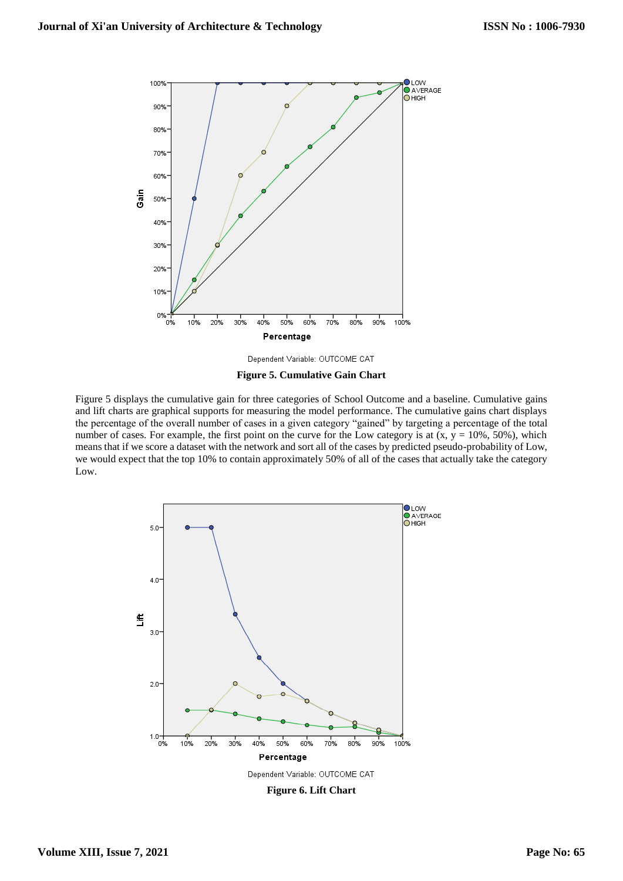

Dependent Variable: OUTCOME CAT



Figure 5 displays the cumulative gain for three categories of School Outcome and a baseline. Cumulative gains and lift charts are graphical supports for measuring the model performance. The cumulative gains chart displays the percentage of the overall number of cases in a given category "gained" by targeting a percentage of the total number of cases. For example, the first point on the curve for the Low category is at  $(x, y = 10\%, 50\%)$ , which means that if we score a dataset with the network and sort all of the cases by predicted pseudo-probability of Low, we would expect that the top 10% to contain approximately 50% of all of the cases that actually take the category Low.



**Figure 6. Lift Chart**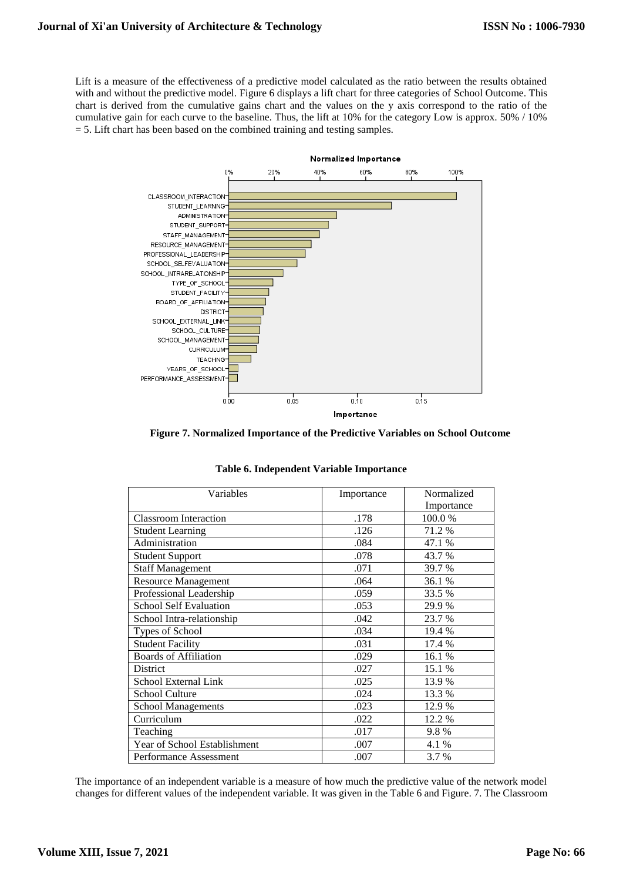Lift is a measure of the effectiveness of a predictive model calculated as the ratio between the results obtained with and without the predictive model. Figure 6 displays a lift chart for three categories of School Outcome. This chart is derived from the cumulative gains chart and the values on the y axis correspond to the ratio of the cumulative gain for each curve to the baseline. Thus, the lift at 10% for the category Low is approx. 50% / 10%  $=$  5. Lift chart has been based on the combined training and testing samples.



**Figure 7. Normalized Importance of the Predictive Variables on School Outcome**

| Variables                     | Importance | Normalized |
|-------------------------------|------------|------------|
|                               |            | Importance |
| <b>Classroom Interaction</b>  | .178       | 100.0%     |
| <b>Student Learning</b>       | .126       | 71.2 %     |
| Administration                | .084       | 47.1 %     |
| <b>Student Support</b>        | .078       | 43.7 %     |
| <b>Staff Management</b>       | .071       | 39.7 %     |
| <b>Resource Management</b>    | .064       | 36.1 %     |
| Professional Leadership       | .059       | 33.5 %     |
| <b>School Self Evaluation</b> | .053       | 29.9 %     |
| School Intra-relationship     | .042       | 23.7 %     |
| Types of School               | .034       | 19.4 %     |
| <b>Student Facility</b>       | .031       | 17.4 %     |
| <b>Boards</b> of Affiliation  | .029       | 16.1 %     |
| District                      | .027       | 15.1 %     |
| School External Link          | .025       | 13.9 %     |
| <b>School Culture</b>         | .024       | 13.3 %     |
| <b>School Managements</b>     | .023       | 12.9 %     |
| Curriculum                    | .022       | 12.2 %     |
| Teaching                      | .017       | 9.8%       |
| Year of School Establishment  | .007       | 4.1 %      |
| Performance Assessment        | .007       | 3.7 %      |

**Table 6. Independent Variable Importance**

The importance of an independent variable is a measure of how much the predictive value of the network model changes for different values of the independent variable. It was given in the Table 6 and Figure. 7. The Classroom